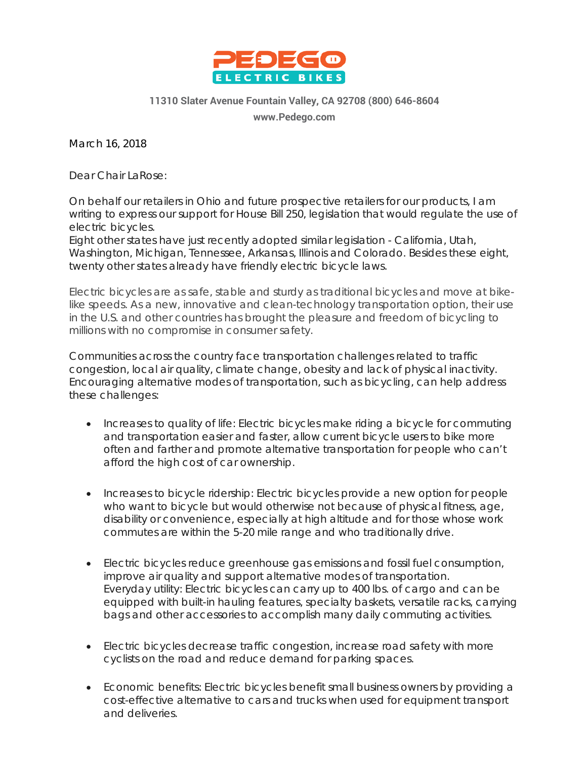

## **11310 Slater Avenue Fountain Valley, CA 92708 (800) 646-8604**

**[www.Pedego.com](http://www.pedego.com/)**

March 16, 2018

Dear Chair LaRose:

On behalf our retailers in Ohio and future prospective retailers for our products, I am writing to express our support for House Bill 250, legislation that would regulate the use of electric bicycles.

Eight other states have just recently adopted similar legislation - California, Utah, Washington, Michigan, Tennessee, Arkansas, Illinois and Colorado. Besides these eight, twenty other states already have friendly electric bicycle laws.

Electric bicycles are as safe, stable and sturdy as traditional bicycles and move at bikelike speeds. As a new, innovative and clean-technology transportation option, their use in the U.S. and other countries has brought the pleasure and freedom of bicycling to millions with no compromise in consumer safety.

Communities across the country face transportation challenges related to traffic congestion, local air quality, climate change, obesity and lack of physical inactivity. Encouraging alternative modes of transportation, such as bicycling, can help address these challenges:

- Increases to quality of life: Electric bicycles make riding a bicycle for commuting and transportation easier and faster, allow current bicycle users to bike more often and farther and promote alternative transportation for people who can't afford the high cost of car ownership.
- Increases to bicycle ridership: Electric bicycles provide a new option for people who want to bicycle but would otherwise not because of physical fitness, age, disability or convenience, especially at high altitude and for those whose work commutes are within the 5-20 mile range and who traditionally drive.
- Electric bicycles reduce greenhouse gas emissions and fossil fuel consumption, improve air quality and support alternative modes of transportation. Everyday utility: Electric bicycles can carry up to 400 lbs. of cargo and can be equipped with built-in hauling features, specialty baskets, versatile racks, carrying bags and other accessories to accomplish many daily commuting activities.
- Electric bicycles decrease traffic congestion, increase road safety with more cyclists on the road and reduce demand for parking spaces.
- Economic benefits: Electric bicycles benefit small business owners by providing a cost-effective alternative to cars and trucks when used for equipment transport and deliveries.